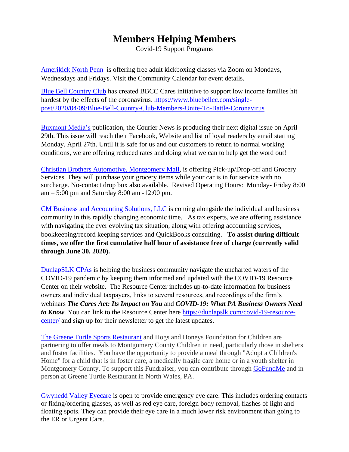## **Members Helping Members**

Covid-19 Support Programs

[Amerikick North Penn](http://www.amerikicklansdale.com/) is offering free adult kickboxing classes via Zoom on Mondays, Wednesdays and Fridays. Visit the Community Calendar for event details.

[Blue Bell Country Club](http://www.bluebellcc.com/) has created BBCC Cares initiative to support low income families hit hardest by the effects of the coronavirus. [https://www.bluebellcc.com/single](https://www.bluebellcc.com/single-post/2020/04/09/Blue-Bell-Country-Club-Members-Unite-To-Battle-Coronavirus)[post/2020/04/09/Blue-Bell-Country-Club-Members-Unite-To-Battle-Coronavirus](https://www.bluebellcc.com/single-post/2020/04/09/Blue-Bell-Country-Club-Members-Unite-To-Battle-Coronavirus)

[Buxmont Media's](http://www.buxmontmedia.com/) publication, the Courier News is producing their next digital issue on April 29th. This issue will reach their Facebook, Website and list of loyal readers by email starting Monday, April 27th. Until it is safe for us and our customers to return to normal working conditions, we are offering reduced rates and doing what we can to help get the word out!

[Christian Brothers Automotive, Montgomery Mall,](https://www.cbac.com/montgomery-mall/) is offering Pick-up/Drop-off and Grocery Services. They will purchase your grocery items while your car is in for service with no surcharge. No-contact drop box also available. Revised Operating Hours: Monday- Friday 8:00 am – 5:00 pm and Saturday 8:00 am -12:00 pm.

[CM Business and Accounting Solutions, LLC](http://www.cmbasolutions.com/) is coming alongside the individual and business community in this rapidly changing economic time. As tax experts, we are offering assistance with navigating the ever evolving tax situation, along with offering accounting services, bookkeeping/record keeping services and QuickBooks consulting. **To assist during difficult times, we offer the first cumulative half hour of assistance free of charge (currently valid through June 30, 2020).**

[DunlapSLK CPAs](https://www.dunlapslk.com/) is helping the business community navigate the uncharted waters of the COVID-19 pandemic by keeping them informed and updated with the COVID-19 Resource Center on their website. The Resource Center includes up-to-date information for business owners and individual taxpayers, links to several resources, and recordings of the firm's webinars *The Cares Act: Its Impact on You* and *COVID-19: What PA Business Owners Need to Know*. You can link to the Resource Center here [https://dunlapslk.com/covid-19-resource](https://dunlapslk.com/covid-19-resource-center/)[center/](https://dunlapslk.com/covid-19-resource-center/) and sign up for their newsletter to get the latest updates.

[The Greene Turtle Sports Restaurant](http://www.thegreeneturtle.com/) and Hogs and Honeys Foundation for Children are partnering to offer meals to Montgomery County Children in need, particularly those in shelters and foster facilities. You have the opportunity to provide a meal through "Adopt a Children's Home" for a child that is in foster care, a medically fragile care home or in a youth shelter in Montgomery County. To support this Fundraiser, you can contribute through [GoFundMe](https://www.gofundme.com/f/adopt-a-children-home-montco-pa) and in person at Greene Turtle Restaurant in North Wales, PA.

[Gwynedd Valley Eyecare](https://www.gwyneddvalleyeyecare.com/) is open to provide emergency eye care. This includes ordering contacts or fixing/ordering glasses, as well as red eye care, foreign body removal, flashes of light and floating spots. They can provide their eye care in a much lower risk environment than going to the ER or Urgent Care.